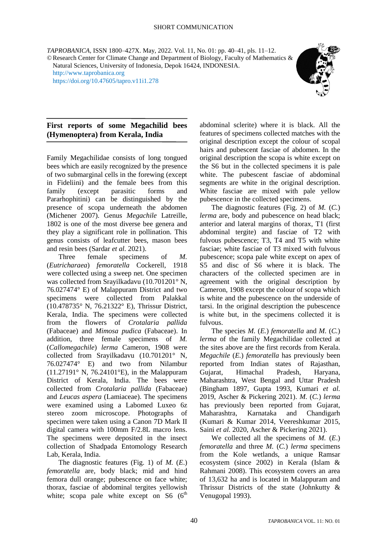*TAPROBANICA*, ISSN 1800–427X. May, 2022. Vol. 11, No. 01: pp. 40–41, pls. 11–12. ©Research Center for Climate Change and Department of Biology, Faculty of Mathematics & Natural Sciences, University of Indonesia, Depok 16424, INDONESIA. [http://www.taprobanica.org](http://www.taprobanica.org/)

<https://doi.org/10.47605/tapro.v11i1.278>



### **First reports of some Megachilid bees (Hymenoptera) from Kerala, India**

Family Megachilidae consists of long tongued bees which are easily recognized by the presence of two submarginal cells in the forewing (except in Fideliini) and the female bees from this family (except parasitic forms and Pararhophitini) can be distinguished by the presence of scopa underneath the abdomen (Michener 2007). Genus *Megachile* Latreille, 1802 is one of the most diverse bee genera and they play a significant role in pollination. This genus consists of leafcutter bees, mason bees and resin bees (Sardar *et al.* 2021).

Three female specimens of *M.*  (*Eutricharaea*) *femoratella* Cockerell, 1918 were collected using a sweep net. One specimen was collected from Srayilkadavu (10.701201° N, 76.027474° E) of Malappuram District and two specimens were collected from Palakkal (10.478735° N, 76.21322° E), Thrissur District, Kerala, India. The specimens were collected from the flowers of *Crotalaria pallida*  (Fabaceae) and *Mimosa pudica* (Fabaceae). In addition, three female specimens of *M.*  (*Callomegachile*) *lerma* Cameron, 1908 were collected from Srayilkadavu (10.701201° N, 76.027474° E) and two from Nilambur (11.27191° N, 76.24101°E), in the Malappuram District of Kerala, India. The bees were collected from *Crotalaria pallida* (Fabaceae) and *Leucas aspera* (Lamiaceae). The specimens were examined using a Labomed Luxeo 6z stereo zoom microscope. Photographs of specimen were taken using a Canon 7D Mark II digital camera with 100mm F/2.8L macro lens. The specimens were deposited in the insect collection of Shadpada Entomology Research Lab, Kerala, India.

The diagnostic features (Fig. 1) of *M.* (*E*.) *femoratella* are, body black; mid and hind femora dull orange; pubescence on face white; thorax, fasciae of abdominal tergites yellowish white; scopa pale white except on S6  $(6<sup>th</sup>$ 

abdominal sclerite) where it is black. All the features of specimens collected matches with the original description except the colour of scopal hairs and pubescent fasciae of abdomen. In the original description the scopa is white except on the S6 but in the collected specimens it is pale white. The pubescent fasciae of abdominal segments are white in the original description. White fasciae are mixed with pale yellow pubescence in the collected specimens.

The diagnostic features (Fig. 2) of *M.* (*C.*) *lerma* are, body and pubescence on head black; anterior and lateral margins of thorax, T1 (first abdominal tergite) and fasciae of T2 with fulvous pubescence; T3, T4 and T5 with white fasciae; white fasciae of T3 mixed with fulvous pubescence; scopa pale white except on apex of S5 and disc of S6 where it is black. The characters of the collected specimen are in agreement with the original description by Cameron, 1908 except the colour of scopa which is white and the pubescence on the underside of tarsi. In the original description the pubescence is white but, in the specimens collected it is fulvous.

The species *M.* (*E.*) *femoratella* and *M.* (*C.*) *lerma* of the family Megachilidae collected at the sites above are the first records from Kerala. *Megachile* (*E.*) *femoratella* has previously been reported from Indian states of Rajasthan, Gujarat, Himachal Pradesh, Haryana, Maharashtra, West Bengal and Uttar Pradesh (Bingham 1897, Gupta 1993, Kumari *et al.* 2019, Ascher & Pickering 2021). *M.* (*C.*) *lerma* has previously been reported from Gujarat, Maharashtra, Karnataka and Chandigarh (Kumari & Kumar 2014, Veereshkumar 2015, Saini *et al.* 2020, Ascher & Pickering 2021).

We collected all the specimens of *M.* (*E*.) *femoratella* and three *M.* (*C.*) *lerma* specimens from the Kole wetlands, a unique Ramsar ecosystem (since 2002) in Kerala (Islam & Rahmani 2008). This ecosystem covers an area of 13,632 ha and is located in Malappuram and Thrissur Districts of the state (Johnkutty & Venugopal 1993).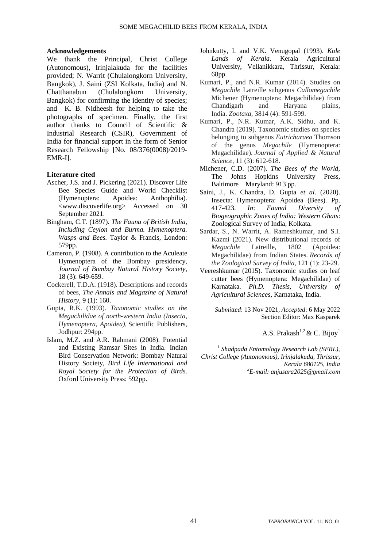#### **Acknowledgements**

We thank the Principal, Christ College (Autonomous), Irinjalakuda for the facilities provided; N. Warrit (Chulalongkorn University, Bangkok), J. Saini (ZSI Kolkata, India) and N. Chatthanabun (Chulalongkorn University, Bangkok) for confirming the identity of species; and K. B. Nidheesh for helping to take the photographs of specimen. Finally, the first author thanks to Council of Scientific & Industrial Research (CSIR), Government of India for financial support in the form of Senior Research Fellowship [No. 08/376(0008)/2019- EMR-I].

### **Literature cited**

- Ascher, J.S. and J. Pickering (2021). Discover Life Bee Species Guide and World Checklist (Hymenoptera: Apoidea: Anthophilia). <www.discoverlife.org> Accessed on 30 September 2021.
- Bingham, C.T. (1897). *The Fauna of British India, Including Ceylon and Burma. Hymenoptera. Wasps and Bees.* Taylor & Francis, London: 579pp.
- Cameron, P. (1908). A contribution to the Aculeate Hymenoptera of the Bombay presidency, *Journal of Bombay Natural History Society,* 18 (3): 649-659.
- Cockerell, T.D.A. (1918). Descriptions and records of bees, *The Annals and Magazine of Natural History*, 9 (1): 160.
- Gupta, R.K. (1993). *Taxonomic studies on the Megachilidae of north-western India (Insecta, Hymenoptera, Apoidea),* Scientific Publishers, Jodhpur: 294pp.
- Islam, M.Z. and A.R. Rahmani (2008). Potential and Existing Ramsar Sites in India. Indian Bird Conservation Network: Bombay Natural History Society, *Bird Life International and Royal Society for the Protection of Birds*. Oxford University Press: 592pp.
- Johnkutty, I. and V.K. Venugopal (1993). *Kole Lands of Kerala*. Kerala Agricultural University, Vellanikkara, Thrissur, Kerala: 68pp.
- Kumari, P., and N.R. Kumar (2014). Studies on *Megachile* Latreille subgenus *Callomegachile* Michener (Hymenoptera: Megachilidae) from Chandigarh and Haryana plains, India. *Zootaxa*, 3814 (4): 591-599.
- Kumari, P., N.R. Kumar, A.K. Sidhu, and K. Chandra (2019). Taxonomic studies on species belonging to subgenus *Eutricharaea* Thomson of the genus *Megachile* (Hymenoptera: Megachilidae). *Journal of Applied & Natural Science*, 11 (3): 612-618.
- Michener, C.D. (2007). *The Bees of the World*, The Johns Hopkins University Press, Baltimore Maryland: 913 pp.
- Saini, J., K. Chandra, D. Gupta *et al*. (2020). Insecta: Hymenoptera: Apoidea (Bees). Pp. 417-423. *In*: *Faunal Diversity of Biogeographic Zones of India: Western Ghats*: Zoological Survey of India, Kolkata.
- Sardar, S., N. Warrit, A. Rameshkumar, and S.I. Kazmi (2021). New distributional records of *Megachile* Latreille, 1802 (Apoidea: Megachilidae) from Indian States. *Records of the Zoological Survey of India*, 121 (1): 23-29.
- Veereshkumar (2015). Taxonomic studies on leaf cutter bees (Hymenoptera: Megachilidae) of Karnataka. *Ph.D. Thesis, University of Agricultural Sciences*, Karnataka, India.

*Submitted*: 13 Nov 2021, *Accepted*: 6 May 2022 Section Editor: Max Kasparek

A.S. Prakash<sup>1,2</sup> & C. Bijoy<sup>1</sup>

1 *Shadpada Entomology Research Lab (SERL), Christ College (Autonomous), Irinjalakuda, Thrissur, Kerala 680125, India <sup>2</sup>E-mail: anjusara2025@gmail.com*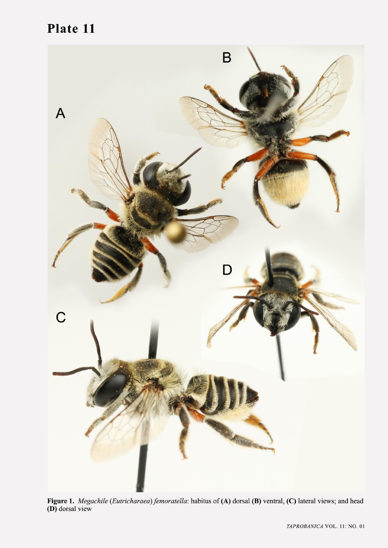# Plate 11



Figure 1. Megachile (Eutricharaea) femoratella: habitus of (A) dorsal (B) ventral, (C) lateral views; and head (D) dorsal view